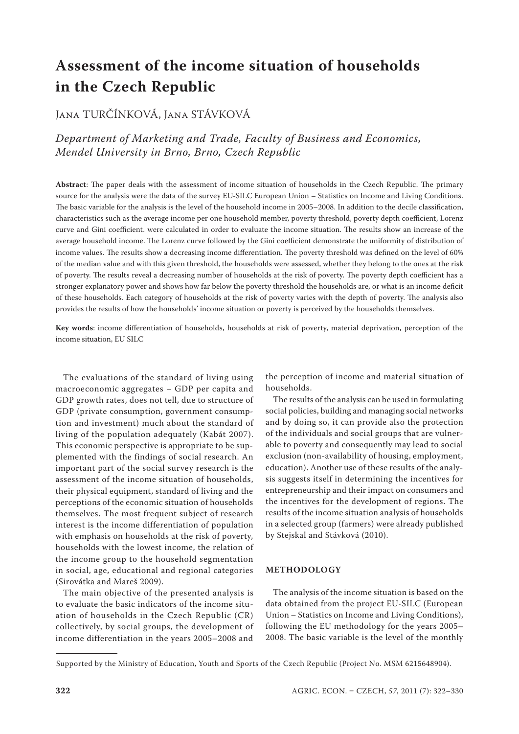# **Assessment of the income situation of households in the Czech Republic**

Jana TURČÍNKOVÁ, Jana STÁVKOVÁ

# *Department of Marketing and Trade, Faculty of Business and Economics, Mendel University in Brno, Brno, Czech Republic*

**Abstract**: The paper deals with the assessment of income situation of households in the Czech Republic. The primary source for the analysis were the data of the survey EU-SILC European Union – Statistics on Income and Living Conditions. The basic variable for the analysis is the level of the household income in 2005–2008. In addition to the decile classification, characteristics such as the average income per one household member, poverty threshold, poverty depth coefficient, Lorenz curve and Gini coefficient. were calculated in order to evaluate the income situation. The results show an increase of the average household income. The Lorenz curve followed by the Gini coefficient demonstrate the uniformity of distribution of income values. The results show a decreasing income differentiation. The poverty threshold was defined on the level of 60% of the median value and with this given threshold, the households were assessed, whether they belong to the ones at the risk of poverty. The results reveal a decreasing number of households at the risk of poverty. The poverty depth coefficient has a stronger explanatory power and shows how far below the poverty threshold the households are, or what is an income deficit of these households. Each category of households at the risk of poverty varies with the depth of poverty. The analysis also provides the results of how the households' income situation or poverty is perceived by the households themselves.

**Key words**: income differentiation of households, households at risk of poverty, material deprivation, perception of the income situation, EU SILC

The evaluations of the standard of living using macroeconomic aggregates – GDP per capita and GDP growth rates, does not tell, due to structure of GDP (private consumption, government consumption and investment) much about the standard of living of the population adequately (Kabát 2007). This economic perspective is appropriate to be supplemented with the findings of social research. An important part of the social survey research is the assessment of the income situation of households, their physical equipment, standard of living and the perceptions of the economic situation of households themselves. The most frequent subject of research interest is the income differentiation of population with emphasis on households at the risk of poverty, households with the lowest income, the relation of the income group to the household segmentation in social, age, educational and regional categories (Sirovátka and Mareš 2009).

The main objective of the presented analysis is to evaluate the basic indicators of the income situation of households in the Czech Republic (CR) collectively, by social groups, the development of income differentiation in the years 2005–2008 and

the perception of income and material situation of households.

The results of the analysis can be used in formulating social policies, building and managing social networks and by doing so, it can provide also the protection of the individuals and social groups that are vulnerable to poverty and consequently may lead to social exclusion (non-availability of housing, employment, education). Another use of these results of the analysis suggests itself in determining the incentives for entrepreneurship and their impact on consumers and the incentives for the development of regions. The results of the income situation analysis of households in a selected group (farmers) were already published by Stejskal and Stávková (2010).

### **METHODOLOGY**

The analysis of the income situation is based on the data obtained from the project EU-SILC (European Union – Statistics on Income and Living Conditions), following the EU methodology for the years 2005– 2008. The basic variable is the level of the monthly

Supported by the Ministry of Education, Youth and Sports of the Czech Republic (Project No. MSM 6215648904).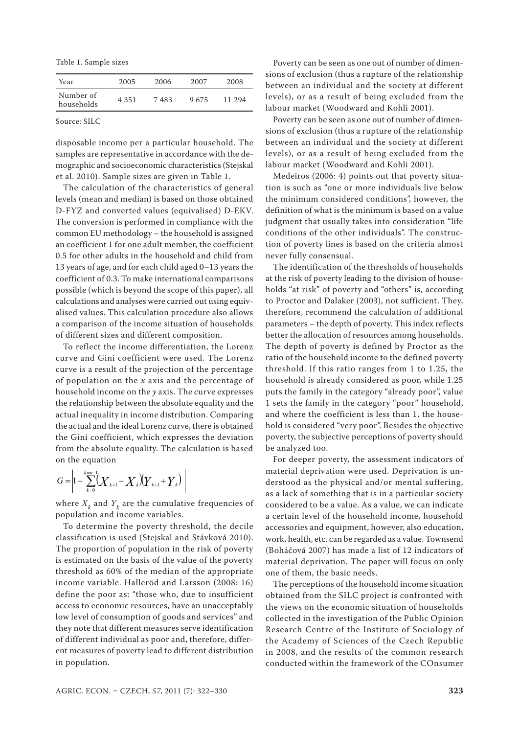Table 1. Sample sizes

| Year                    | 2005    | 2006 | 2007 | 2008   |
|-------------------------|---------|------|------|--------|
| Number of<br>households | 4 3 5 1 | 7483 | 9675 | 11 294 |

Source: SILC

disposable income per a particular household. The samples are representative in accordance with the demographic and socioeconomic characteristics (Stejskal et al. 2010). Sample sizes are given in Table 1.

The calculation of the characteristics of general levels (mean and median) is based on those obtained D-FYZ and converted values (equivalised) D-EKV. The conversion is performed in compliance with the common EU methodology – the household is assigned an coefficient 1 for one adult member, the coefficient 0.5 for other adults in the household and child from 13 years of age, and for each child aged 0–13 years the coefficient of 0.3. To make international comparisons possible (which is beyond the scope of this paper), all calculations and analyses were carried out using equivalised values. This calculation procedure also allows a comparison of the income situation of households of different sizes and different composition.

To reflect the income differentiation, the Lorenz curve and Gini coefficient were used. The Lorenz curve is a result of the projection of the percentage of population on the *x* axis and the percentage of household income on the *y* axis. The curve expresses the relationship between the absolute equality and the actual inequality in income distribution. Comparing the actual and the ideal Lorenz curve, there is obtained the Gini coefficient, which expresses the deviation from the absolute equality. The calculation is based on the equation

$$
G = \left| 1 - \sum_{k=0}^{k=n-1} (X_{k+1} - X_k)(Y_{k+1} + Y_k) \right|
$$

where  $X_k$  and  $Y_k$  are the cumulative frequencies of population and income variables.

To determine the poverty threshold, the decile classification is used (Stejskal and Stávková 2010). The proportion of population in the risk of poverty is estimated on the basis of the value of the poverty threshold as 60% of the median of the appropriate income variable. Halleröd and Larsson (2008: 16) define the poor as: "those who, due to insufficient access to economic resources, have an unacceptably low level of consumption of goods and services" and they note that different measures serve identification of different individual as poor and, therefore, different measures of poverty lead to different distribution in population.

Poverty can be seen as one out of number of dimensions of exclusion (thus a rupture of the relationship between an individual and the society at different levels), or as a result of being excluded from the labour market (Woodward and Kohli 2001).

Poverty can be seen as one out of number of dimensions of exclusion (thus a rupture of the relationship between an individual and the society at different levels), or as a result of being excluded from the labour market (Woodward and Kohli 2001).

Medeiros (2006: 4) points out that poverty situation is such as "one or more individuals live below the minimum considered conditions", however, the definition of what is the minimum is based on a value judgment that usually takes into consideration "life conditions of the other individuals". The construction of poverty lines is based on the criteria almost never fully consensual.

The identification of the thresholds of households at the risk of poverty leading to the division of households "at risk" of poverty and "others" is, according to Proctor and Dalaker (2003), not sufficient. They, therefore, recommend the calculation of additional parameters – the depth of poverty. This index reflects better the allocation of resources among households. The depth of poverty is defined by Proctor as the ratio of the household income to the defined poverty threshold. If this ratio ranges from 1 to 1.25, the household is already considered as poor, while 1.25 puts the family in the category "already poor", value 1 sets the family in the category "poor" household, and where the coefficient is less than 1, the household is considered "very poor". Besides the objective poverty, the subjective perceptions of poverty should be analyzed too.

For deeper poverty, the assessment indicators of material deprivation were used. Deprivation is understood as the physical and/or mental suffering, as a lack of something that is in a particular society considered to be a value. As a value, we can indicate a certain level of the household income, household accessories and equipment, however, also education, work, health, etc. can be regarded as a value. Townsend (Boháčová 2007) has made a list of 12 indicators of material deprivation. The paper will focus on only one of them, the basic needs.

The perceptions of the household income situation obtained from the SILC project is confronted with the views on the economic situation of households collected in the investigation of the Public Opinion Research Centre of the Institute of Sociology of the Academy of Sciences of the Czech Republic in 2008, and the results of the common research conducted within the framework of the COnsumer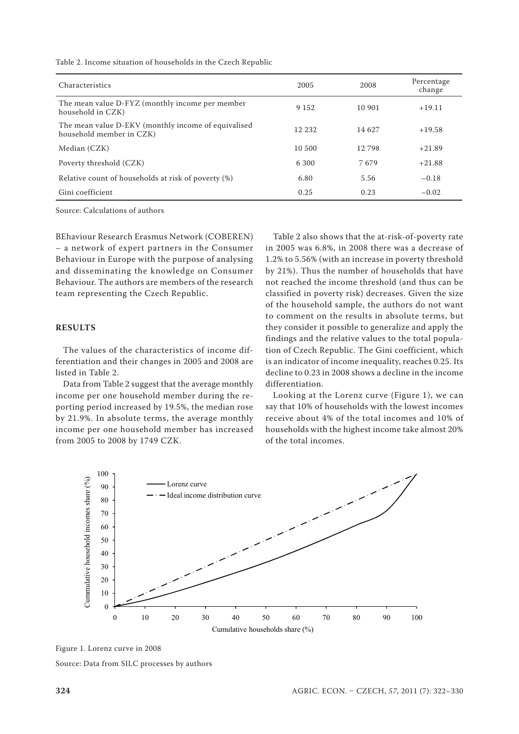Table 2. Income situation of households in the Czech Republic

| Characteristics                                                                 | 2005     | 2008   | Percentage<br>change |
|---------------------------------------------------------------------------------|----------|--------|----------------------|
| The mean value D-FYZ (monthly income per member<br>household in CZK)            | 9 1 5 2  | 10 901 | $+19.11$             |
| The mean value D-EKV (monthly income of equivalised<br>household member in CZK) | 12 2 3 2 | 14 627 | $+19.58$             |
| Median (CZK)                                                                    | 10 500   | 12798  | $+21.89$             |
| Poverty threshold (CZK)                                                         | 6 300    | 7679   | $+21.88$             |
| Relative count of households at risk of poverty (%)                             | 6.80     | 5.56   | $-0.18$              |
| Gini coefficient                                                                | 0.25     | 0.23   | $-0.02$              |

Source: Calculations of authors

BEhaviour Research Erasmus Network (COBEREN) – a network of expert partners in the Consumer Behaviour in Europe with the purpose of analysing and disseminating the knowledge on Consumer Behaviour. The authors are members of the research team representing the Czech Republic.

#### **RESULTS**

The values of the characteristics of income differentiation and their changes in 2005 and 2008 are listed in Table 2.

Data from Table 2 suggest that the average monthly income per one household member during the reporting period increased by 19.5%, the median rose by 21.9%. In absolute terms, the average monthly income per one household member has increased from 2005 to 2008 by 1749 CZK.

Table 2 also shows that the at-risk-of-poverty rate in 2005 was 6.8%, in 2008 there was a decrease of 1.2% to 5.56% (with an increase in poverty threshold by 21%). Thus the number of households that have not reached the income threshold (and thus can be classified in poverty risk) decreases. Given the size of the household sample, the authors do not want to comment on the results in absolute terms, but they consider it possible to generalize and apply the findings and the relative values to the total population of Czech Republic. The Gini coefficient, which is an indicator of income inequality, reaches 0.25. Its decline to 0.23 in 2008 shows a decline in the income differentiation.

Looking at the Lorenz curve (Figure 1), we can say that 10% of households with the lowest incomes receive about 4% of the total incomes and 10% of households with the highest income take almost 20% of the total incomes.



Figure 1. Lorenz curve in 2008

Source: Data from SILC processes by authors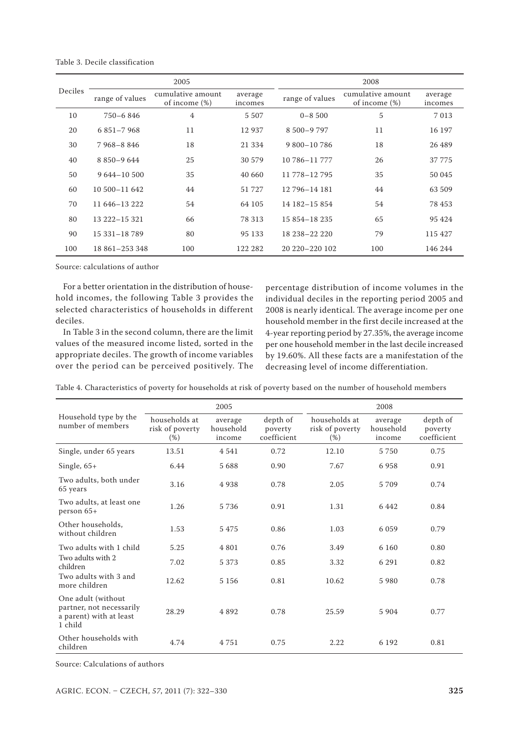Table 3. Decile classification

|         |                   | 2005                               |                    |                  | 2008                               |                    |  |  |  |
|---------|-------------------|------------------------------------|--------------------|------------------|------------------------------------|--------------------|--|--|--|
| Deciles | range of values   | cumulative amount<br>of income (%) | average<br>incomes | range of values  | cumulative amount<br>of income (%) | average<br>incomes |  |  |  |
| 10      | 750-6846          | 4                                  | 5 5 0 7            | $0 - 8500$       | 5                                  | 7013               |  |  |  |
| 20      | $6851 - 7968$     | 11                                 | 12 9 37            | 8 500-9 797      | 11                                 | 16 197             |  |  |  |
| 30      | 7968-8846         | 18                                 | 21 3 3 4           | 9 800 - 10 786   | 18                                 | 26 489             |  |  |  |
| 40      | 8 8 5 0 - 9 6 4 4 | 25                                 | 30 579             | 10 786-11 777    | 26                                 | 37 775             |  |  |  |
| 50      | $9644 - 10500$    | 35                                 | 40 660             | 11 778-12 795    | 35                                 | 50 045             |  |  |  |
| 60      | 10 500 - 11 642   | 44                                 | 51 727             | 12 796-14 181    | 44                                 | 63 509             |  |  |  |
| 70      | 11 646 - 13 222   | 54                                 | 64 105             | 14 182-15 854    | 54                                 | 78 453             |  |  |  |
| 80      | 13 222-15 321     | 66                                 | 78 313             | 15 854-18 235    | 65                                 | 95 424             |  |  |  |
| 90      | 15 331 - 18 789   | 80                                 | 95 133             | 18 238 - 22 220  | 79                                 | 115 427            |  |  |  |
| 100     | 18 861-253 348    | 100                                | 122 282            | 20 220 - 220 102 | 100                                | 146 244            |  |  |  |

Source: calculations of author

For a better orientation in the distribution of household incomes, the following Table 3 provides the selected characteristics of households in different deciles.

In Table 3 in the second column, there are the limit values of the measured income listed, sorted in the appropriate deciles. The growth of income variables over the period can be perceived positively. The percentage distribution of income volumes in the individual deciles in the reporting period 2005 and 2008 is nearly identical. The average income per one household member in the first decile increased at the 4-year reporting period by 27.35%, the average income per one household member in the last decile increased by 19.60%. All these facts are a manifestation of the decreasing level of income differentiation.

Table 4. Characteristics of poverty for households at risk of poverty based on the number of household members

|                                                                                       |                                          | 2005                           |                                    |                                          | 2008                           |                                    |
|---------------------------------------------------------------------------------------|------------------------------------------|--------------------------------|------------------------------------|------------------------------------------|--------------------------------|------------------------------------|
| Household type by the<br>number of members                                            | households at<br>risk of poverty<br>(% ) | average<br>household<br>income | depth of<br>poverty<br>coefficient | households at<br>risk of poverty<br>(% ) | average<br>household<br>income | depth of<br>poverty<br>coefficient |
| Single, under 65 years                                                                | 13.51                                    | 4541                           | 0.72                               | 12.10                                    | 5 7 5 0                        | 0.75                               |
| Single, $65+$                                                                         | 6.44                                     | 5688                           | 0.90                               | 7.67                                     | 6958                           | 0.91                               |
| Two adults, both under<br>65 years                                                    | 3.16                                     | 4938                           | 0.78                               | 2.05                                     | 5709                           | 0.74                               |
| Two adults, at least one<br>person $65+$                                              | 1.26                                     | 5 7 3 6                        | 0.91                               | 1.31                                     | 6442                           | 0.84                               |
| Other households,<br>without children                                                 | 1.53                                     | 5475                           | 0.86                               | 1.03                                     | 6 0 5 9                        | 0.79                               |
| Two adults with 1 child                                                               | 5.25                                     | 4801                           | 0.76                               | 3.49                                     | 6 1 6 0                        | 0.80                               |
| Two adults with 2<br>children                                                         | 7.02                                     | 5 3 7 3                        | 0.85                               | 3.32                                     | 6 2 9 1                        | 0.82                               |
| Two adults with 3 and<br>more children                                                | 12.62                                    | 5 1 5 6                        | 0.81                               | 10.62                                    | 5980                           | 0.78                               |
| One adult (without)<br>partner, not necessarily<br>a parent) with at least<br>1 child | 28.29                                    | 4892                           | 0.78                               | 25.59                                    | 5 9 0 4                        | 0.77                               |
| Other households with<br>children                                                     | 4.74                                     | 4751                           | 0.75                               | 2.22                                     | 6 1 9 2                        | 0.81                               |

Source: Calculations of authors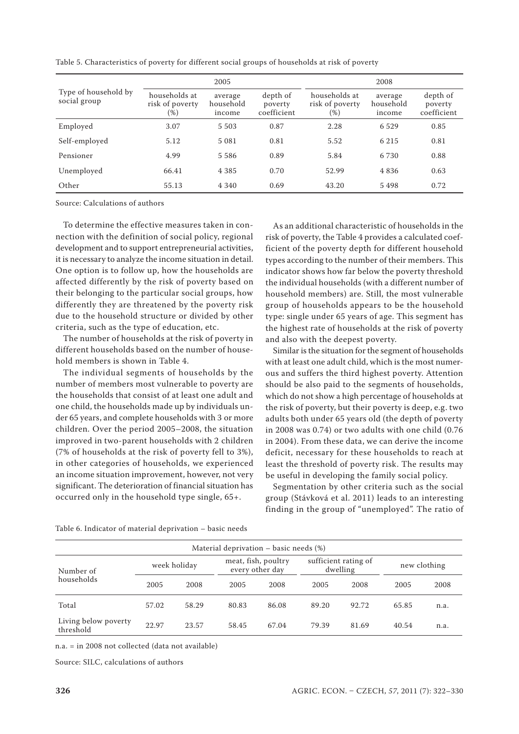|                                      |                                            | 2005                           |                                    |                                            | 2008                           |                                    |
|--------------------------------------|--------------------------------------------|--------------------------------|------------------------------------|--------------------------------------------|--------------------------------|------------------------------------|
| Type of household by<br>social group | households at<br>risk of poverty<br>$(\%)$ | average<br>household<br>income | depth of<br>poverty<br>coefficient | households at<br>risk of poverty<br>$(\%)$ | average<br>household<br>income | depth of<br>poverty<br>coefficient |
| Employed                             | 3.07                                       | 5 5 0 3                        | 0.87                               | 2.28                                       | 6529                           | 0.85                               |
| Self-employed                        | 5.12                                       | 5 0 8 1                        | 0.81                               | 5.52                                       | 6 2 1 5                        | 0.81                               |
| Pensioner                            | 4.99                                       | 5 5 8 6                        | 0.89                               | 5.84                                       | 6 7 3 0                        | 0.88                               |
| Unemployed                           | 66.41                                      | 4 3 8 5                        | 0.70                               | 52.99                                      | 4836                           | 0.63                               |
| Other                                | 55.13                                      | 4 3 4 0                        | 0.69                               | 43.20                                      | 5498                           | 0.72                               |

Table 5. Characteristics of poverty for different social groups of households at risk of poverty

Source: Calculations of authors

To determine the effective measures taken in connection with the definition of social policy, regional development and to support entrepreneurial activities, it is necessary to analyze the income situation in detail. One option is to follow up, how the households are affected differently by the risk of poverty based on their belonging to the particular social groups, how differently they are threatened by the poverty risk due to the household structure or divided by other criteria, such as the type of education, etc.

The number of households at the risk of poverty in different households based on the number of household members is shown in Table 4.

The individual segments of households by the number of members most vulnerable to poverty are the households that consist of at least one adult and one child, the households made up by individuals under 65 years, and complete households with 3 or more children. Over the period 2005–2008, the situation improved in two-parent households with 2 children (7% of households at the risk of poverty fell to 3%), in other categories of households, we experienced an income situation improvement, however, not very significant. The deterioration of financial situation has occurred only in the household type single, 65+.

As an additional characteristic of households in the risk of poverty, the Table 4 provides a calculated coefficient of the poverty depth for different household types according to the number of their members. This indicator shows how far below the poverty threshold the individual households (with a different number of household members) are. Still, the most vulnerable group of households appears to be the household type: single under 65 years of age. This segment has the highest rate of households at the risk of poverty and also with the deepest poverty.

Similar is the situation for the segment of households with at least one adult child, which is the most numerous and suffers the third highest poverty. Attention should be also paid to the segments of households, which do not show a high percentage of households at the risk of poverty, but their poverty is deep, e.g. two adults both under 65 years old (the depth of poverty in 2008 was 0.74) or two adults with one child (0.76 in 2004). From these data, we can derive the income deficit, necessary for these households to reach at least the threshold of poverty risk. The results may be useful in developing the family social policy.

Segmentation by other criteria such as the social group (Stávková et al. 2011) leads to an interesting finding in the group of "unemployed". The ratio of

| Material deprivation $-$ basic needs $(\%)$ |       |              |                                        |       |                                  |       |              |      |  |  |
|---------------------------------------------|-------|--------------|----------------------------------------|-------|----------------------------------|-------|--------------|------|--|--|
| Number of                                   |       | week holiday | meat, fish, poultry<br>every other day |       | sufficient rating of<br>dwelling |       | new clothing |      |  |  |
| households                                  | 2005  | 2008         | 2005                                   | 2008  | 2005                             | 2008  | 2005         | 2008 |  |  |
| Total                                       | 57.02 | 58.29        | 80.83                                  | 86.08 | 89.20                            | 92.72 | 65.85        | n.a. |  |  |
| Living below poverty<br>threshold           | 22.97 | 23.57        | 58.45                                  | 67.04 | 79.39                            | 81.69 | 40.54        | n.a. |  |  |

Table 6. Indicator of material deprivation – basic needs

n.a. = in 2008 not collected (data not available)

Source: SILC, calculations of authors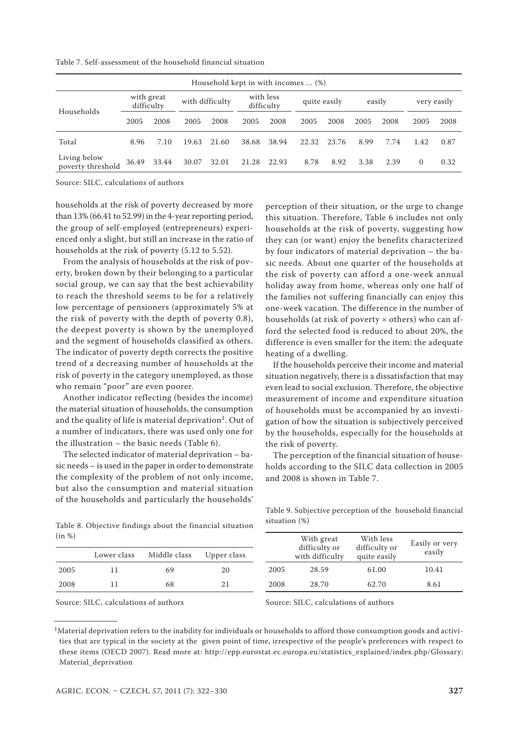| Table 7. Self-assessment of the household financial situation |
|---------------------------------------------------------------|
|---------------------------------------------------------------|

| Household kept in with incomes  (%) |       |                          |                 |       |       |                         |              |       |        |      |          |             |
|-------------------------------------|-------|--------------------------|-----------------|-------|-------|-------------------------|--------------|-------|--------|------|----------|-------------|
| Households                          |       | with great<br>difficulty | with difficulty |       |       | with less<br>difficulty | quite easily |       | easily |      |          | very easily |
|                                     | 2005  | 2008                     | 2005            | 2008  | 2005  | 2008                    | 2005         | 2008  | 2005   | 2008 | 2005     | 2008        |
| Total                               | 8.96  | 7.10                     | 19.63           | 21.60 | 38.68 | 38.94                   | 22.32        | 23.76 | 8.99   | 7.74 | 1.42     | 0.87        |
| Living below<br>poverty threshold   | 36.49 | 33.44                    | 30.07           | 32.01 | 21.28 | 22.93                   | 8.78         | 8.92  | 3.38   | 2.39 | $\Omega$ | 0.32        |

Source: SILC, calculations of authors

households at the risk of poverty decreased by more than 13% (66.41 to 52.99) in the 4-year reporting period, the group of self-employed (entrepreneurs) experienced only a slight, but still an increase in the ratio of households at the risk of poverty (5.12 to 5.52).

From the analysis of households at the risk of poverty, broken down by their belonging to a particular social group, we can say that the best achievability to reach the threshold seems to be for a relatively low percentage of pensioners (approximately 5% at the risk of poverty with the depth of poverty 0.8), the deepest poverty is shown by the unemployed and the segment of households classified as others. The indicator of poverty depth corrects the positive trend of a decreasing number of households at the risk of poverty in the category unemployed, as those who remain "poor" are even poorer.

Another indicator reflecting (besides the income) the material situation of households, the consumption and the quality of life is material deprivation<sup>1</sup>. Out of a number of indicators, there was used only one for the illustration – the basic needs (Table 6).

The selected indicator of material deprivation – basic needs – is used in the paper in order to demonstrate the complexity of the problem of not only income, but also the consumption and material situation of the households and particularly the households' perception of their situation, or the urge to change this situation. Therefore, Table 6 includes not only households at the risk of poverty, suggesting how they can (or want) enjoy the benefits characterized by four indicators of material deprivation – the basic needs. About one quarter of the households at the risk of poverty can afford a one-week annual holiday away from home, whereas only one half of the families not suffering financially can enjoy this one-week vacation. The difference in the number of households (at risk of poverty  $\times$  others) who can afford the selected food is reduced to about 20%, the difference is even smaller for the item: the adequate heating of a dwelling.

If the households perceive their income and material situation negatively, there is a dissatisfaction that may even lead to social exclusion. Therefore, the objective measurement of income and expenditure situation of households must be accompanied by an investigation of how the situation is subjectively perceived by the households, especially for the households at the risk of poverty.

The perception of the financial situation of households according to the SILC data collection in 2005 and 2008 is shown in Table 7.

Table 9. Subjective perception of the household financial

Table 8. Objective findings about the financial situation (in %)

| in %) |             |              |             |  |      | With great                       | With less                     | Easily or very |  |
|-------|-------------|--------------|-------------|--|------|----------------------------------|-------------------------------|----------------|--|
|       | Lower class | Middle class | Upper class |  |      | difficulty or<br>with difficulty | difficulty or<br>quite easily | easily         |  |
| 2005  |             | 69           | 20          |  | 2005 | 28.59                            | 61.00                         | 10.41          |  |
| 2008  |             | 68           | 21          |  | 2008 | 28.70                            | 62.70                         | 8.61           |  |

Source: SILC, calculations of authors

Source: SILC, calculations of authors

 $1$ Material deprivation refers to the inability for individuals or households to afford those consumption goods and activities that are typical in the society at the given point of time, irrespective of the people's preferences with respect to these items (OECD 2007). Read more at: http://epp.eurostat.ec.europa.eu/statistics\_explained/index.php/Glossary: Material\_deprivation

situation (%)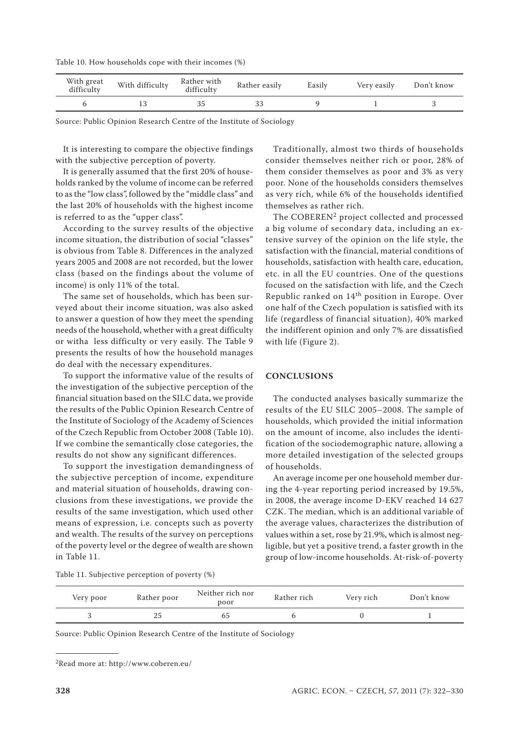Table 10. How households cope with their incomes (%)

| With great<br>difficulty | With difficulty | Rather with<br>difficulty | Rather easily | Easily | Very easily | Don't know |
|--------------------------|-----------------|---------------------------|---------------|--------|-------------|------------|
|                          |                 |                           |               |        |             |            |

Source: Public Opinion Research Centre of the Institute of Sociology

It is interesting to compare the objective findings with the subjective perception of poverty.

It is generally assumed that the first 20% of households ranked by the volume of income can be referred to as the "low class", followed by the "middle class" and the last 20% of households with the highest income is referred to as the "upper class".

According to the survey results of the objective income situation, the distribution of social "classes" is obvious from Table 8. Differences in the analyzed years 2005 and 2008 are not recorded, but the lower class (based on the findings about the volume of income) is only 11% of the total.

The same set of households, which has been surveyed about their income situation, was also asked to answer a question of how they meet the spending needs of the household, whether with a great difficulty or witha less difficulty or very easily. The Table 9 presents the results of how the household manages do deal with the necessary expenditures.

To support the informative value of the results of the investigation of the subjective perception of the financial situation based on the SILC data, we provide the results of the Public Opinion Research Centre of the Institute of Sociology of the Academy of Sciences of the Czech Republic from October 2008 (Table 10). If we combine the semantically close categories, the results do not show any significant differences.

To support the investigation demandingness of the subjective perception of income, expenditure and material situation of households, drawing conclusions from these investigations, we provide the results of the same investigation, which used other means of expression, i.e. concepts such as poverty and wealth. The results of the survey on perceptions of the poverty level or the degree of wealth are shown in Table 11.

Traditionally, almost two thirds of households consider themselves neither rich or poor, 28% of them consider themselves as poor and 3% as very poor. None of the households considers themselves as very rich, while 6% of the households identified themselves as rather rich.

The COBEREN<sup>2</sup> project collected and processed a big volume of secondary data, including an extensive survey of the opinion on the life style, the satisfaction with the financial, material conditions of households, satisfaction with health care, education, etc. in all the EU countries. One of the questions focused on the satisfaction with life, and the Czech Republic ranked on 14th position in Europe. Over one half of the Czech population is satisfied with its life (regardless of financial situation), 40% marked the indifferent opinion and only 7% are dissatisfied with life (Figure 2).

### **CONCLUSIONS**

The conducted analyses basically summarize the results of the EU SILC 2005–2008. The sample of households, which provided the initial information on the amount of income, also includes the identification of the sociodemographic nature, allowing a more detailed investigation of the selected groups of households.

An average income per one household member during the 4-year reporting period increased by 19.5%, in 2008, the average income D-EKV reached 14 627 CZK. The median, which is an additional variable of the average values, characterizes the distribution of values within a set, rose by 21.9%, which is almost negligible, but yet a positive trend, a faster growth in the group of low-income households. At-risk-of-poverty

| Very poor | Neither rich nor<br>Rather poor<br>poor |  | Rather rich | Verv rich | Don't know |
|-----------|-----------------------------------------|--|-------------|-----------|------------|
| ັ         | 25                                      |  |             |           |            |

Source: Public Opinion Research Centre of the Institute of Sociology

<sup>2</sup>Read more at: http://www.coberen.eu/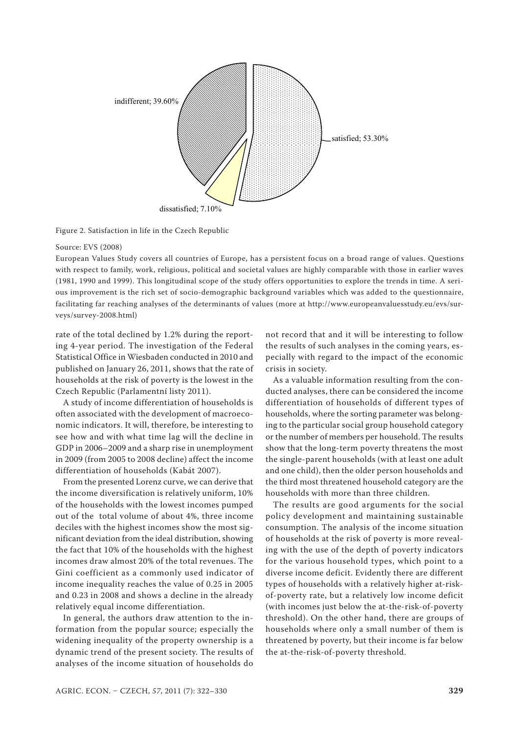

Figure 2. Satisfaction in life in the Czech Republic

#### Source: EVS (2008)

European Values Study covers all countries of Europe, has a persistent focus on a broad range of values. Questions with respect to family, work, religious, political and societal values are highly comparable with those in earlier waves (1981, 1990 and 1999). This longitudinal scope of the study offers opportunities to explore the trends in time. A serious improvement is the rich set of socio-demographic background variables which was added to the questionnaire, facilitating far reaching analyses of the determinants of values (more at http://www.europeanvaluesstudy.eu/evs/surveys/survey-2008.html)

rate of the total declined by 1.2% during the reporting 4-year period. The investigation of the Federal Statistical Office in Wiesbaden conducted in 2010 and published on January 26, 2011, shows that the rate of households at the risk of poverty is the lowest in the Czech Republic (Parlamentní listy 2011).

A study of income differentiation of households is often associated with the development of macroeconomic indicators. It will, therefore, be interesting to see how and with what time lag will the decline in GDP in 2006–2009 and a sharp rise in unemployment in 2009 (from 2005 to 2008 decline) affect the income differentiation of households (Kabát 2007).

From the presented Lorenz curve, we can derive that the income diversification is relatively uniform, 10% of the households with the lowest incomes pumped out of the total volume of about 4%, three income deciles with the highest incomes show the most significant deviation from the ideal distribution, showing the fact that 10% of the households with the highest incomes draw almost 20% of the total revenues. The Gini coefficient as a commonly used indicator of income inequality reaches the value of 0.25 in 2005 and 0.23 in 2008 and shows a decline in the already relatively equal income differentiation.

In general, the authors draw attention to the information from the popular source; especially the widening inequality of the property ownership is a dynamic trend of the present society. The results of analyses of the income situation of households do not record that and it will be interesting to follow the results of such analyses in the coming years, especially with regard to the impact of the economic crisis in society.

As a valuable information resulting from the conducted analyses, there can be considered the income differentiation of households of different types of households, where the sorting parameter was belonging to the particular social group household category or the number of members per household. The results show that the long-term poverty threatens the most the single-parent households (with at least one adult and one child), then the older person households and the third most threatened household category are the households with more than three children.

The results are good arguments for the social policy development and maintaining sustainable consumption. The analysis of the income situation of households at the risk of poverty is more revealing with the use of the depth of poverty indicators for the various household types, which point to a diverse income deficit. Evidently there are different types of households with a relatively higher at-riskof-poverty rate, but a relatively low income deficit (with incomes just below the at-the-risk-of-poverty threshold). On the other hand, there are groups of households where only a small number of them is threatened by poverty, but their income is far below the at-the-risk-of-poverty threshold.